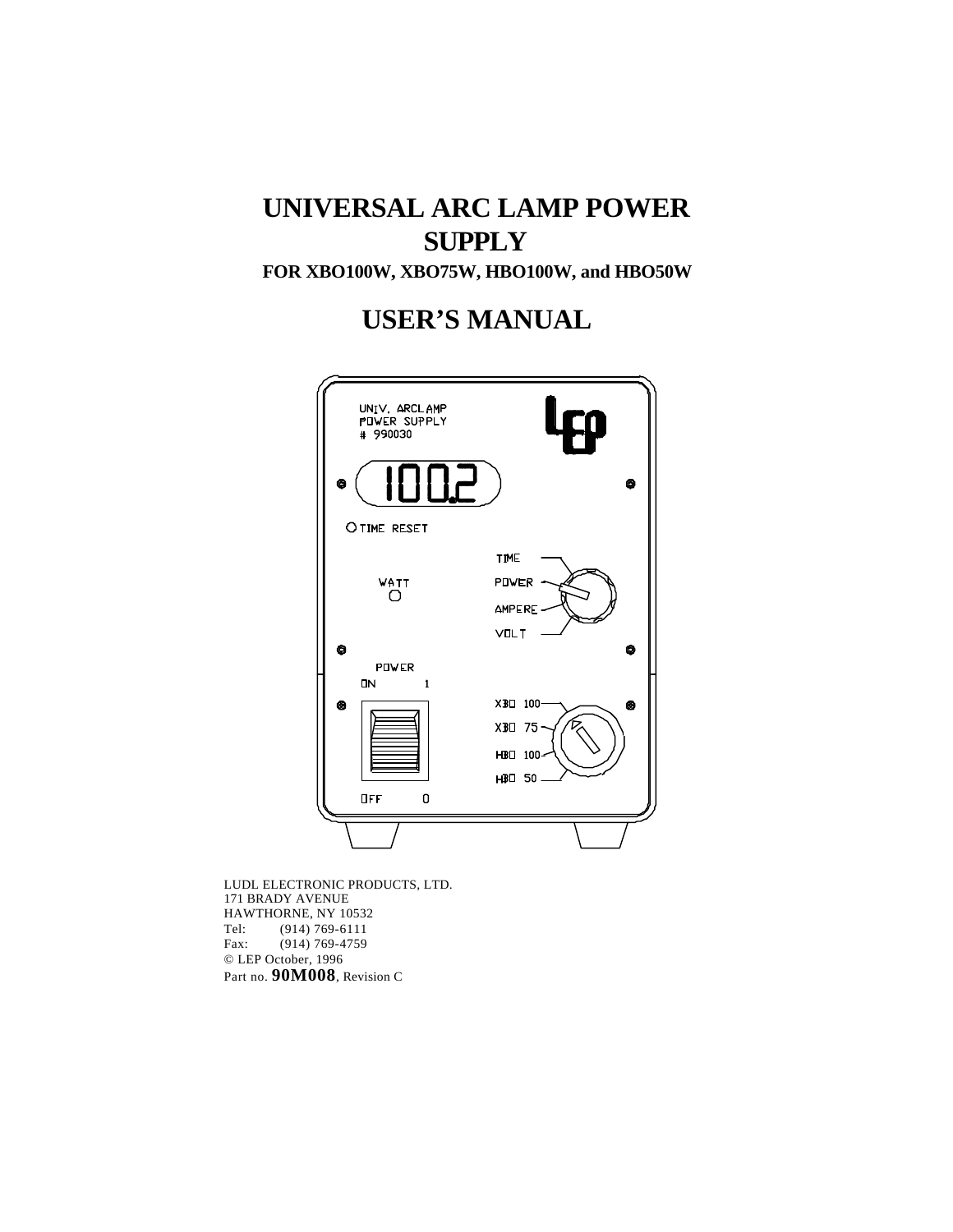# **UNIVERSAL ARC LAMP POWER SUPPLY**

**FOR XBO100W, XBO75W, HBO100W, and HBO50W**

**USER'S MANUAL**



LUDL ELECTRONIC PRODUCTS, LTD. 171 BRADY AVENUE HAWTHORNE, NY 10532<br>Tel: (914) 769-6111  $(914) 769 - 6111$ Fax: (914) 769-4759 © LEP October, 1996 Part no. **90M008**, Revision C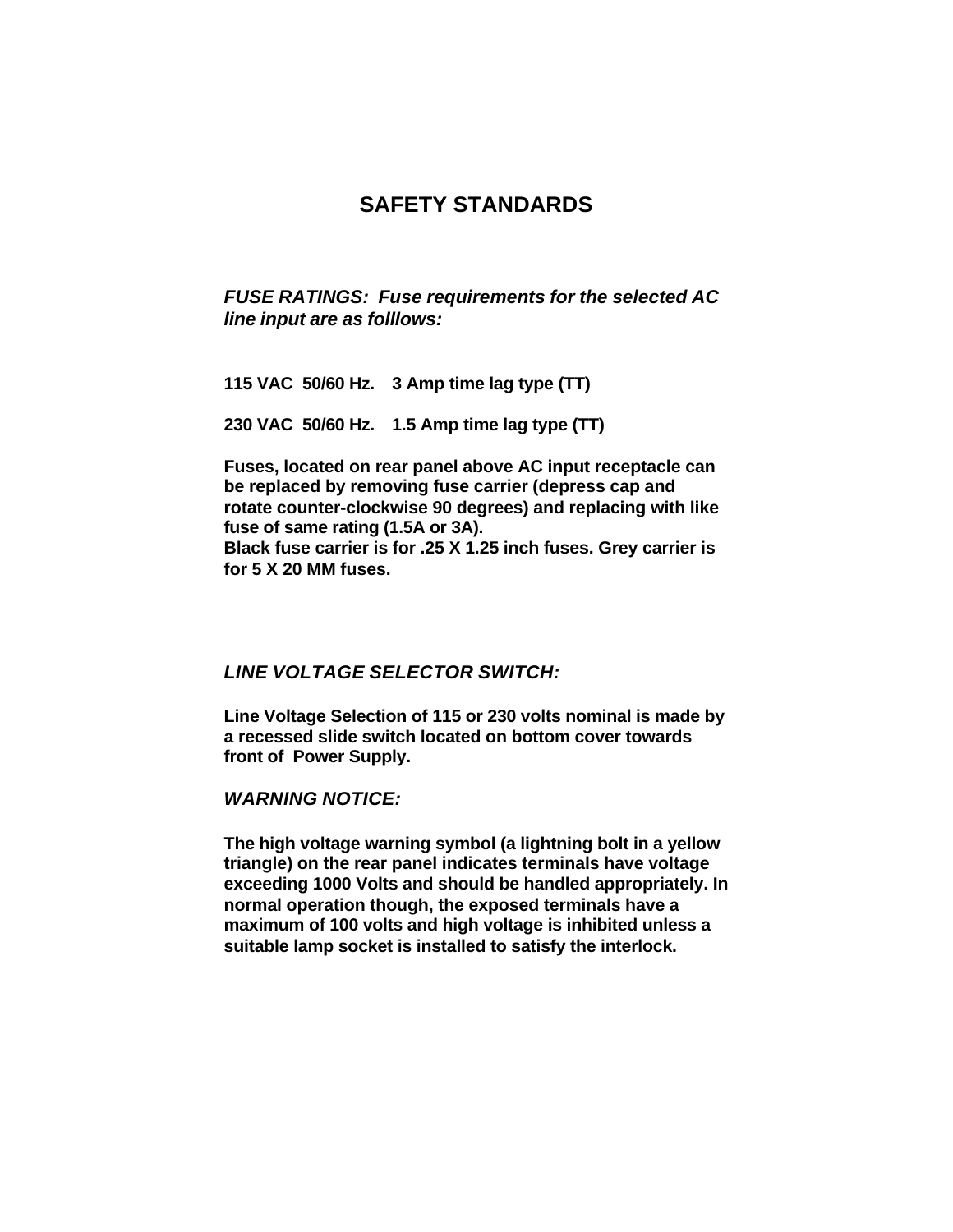# **SAFETY STANDARDS**

*FUSE RATINGS: Fuse requirements for the selected AC line input are as folllows:*

**115 VAC 50/60 Hz. 3 Amp time lag type (TT)**

**230 VAC 50/60 Hz. 1.5 Amp time lag type (TT)**

**Fuses, located on rear panel above AC input receptacle can be replaced by removing fuse carrier (depress cap and rotate counter-clockwise 90 degrees) and replacing with like fuse of same rating (1.5A or 3A). Black fuse carrier is for .25 X 1.25 inch fuses. Grey carrier is for 5 X 20 MM fuses.**

## *LINE VOLTAGE SELECTOR SWITCH:*

**Line Voltage Selection of 115 or 230 volts nominal is made by a recessed slide switch located on bottom cover towards front of Power Supply.**

*WARNING NOTICE:*

**The high voltage warning symbol (a lightning bolt in a yellow triangle) on the rear panel indicates terminals have voltage exceeding 1000 Volts and should be handled appropriately. In normal operation though, the exposed terminals have a maximum of 100 volts and high voltage is inhibited unless a suitable lamp socket is installed to satisfy the interlock.**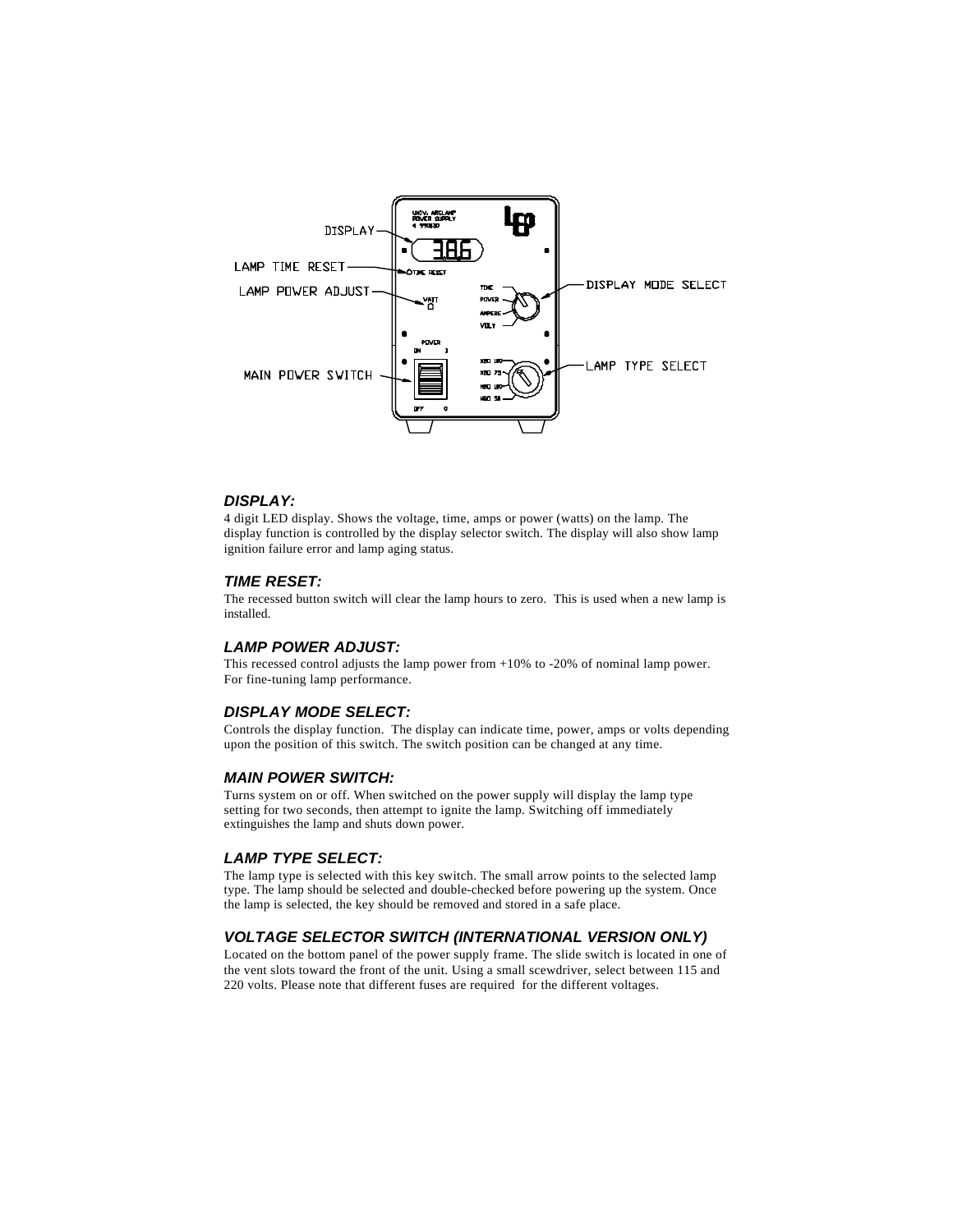

#### *DISPLAY:*

4 digit LED display. Shows the voltage, time, amps or power (watts) on the lamp. The display function is controlled by the display selector switch. The display will also show lamp ignition failure error and lamp aging status.

#### *TIME RESET:*

The recessed button switch will clear the lamp hours to zero. This is used when a new lamp is installed.

#### *LAMP POWER ADJUST:*

This recessed control adjusts the lamp power from +10% to -20% of nominal lamp power. For fine-tuning lamp performance.

#### *DISPLAY MODE SELECT:*

Controls the display function. The display can indicate time, power, amps or volts depending upon the position of this switch. The switch position can be changed at any time.

#### *MAIN POWER SWITCH:*

Turns system on or off. When switched on the power supply will display the lamp type setting for two seconds, then attempt to ignite the lamp. Switching off immediately extinguishes the lamp and shuts down power.

#### *LAMP TYPE SELECT:*

The lamp type is selected with this key switch. The small arrow points to the selected lamp type. The lamp should be selected and double-checked before powering up the system. Once the lamp is selected, the key should be removed and stored in a safe place.

#### *VOLTAGE SELECTOR SWITCH (INTERNATIONAL VERSION ONLY)*

Located on the bottom panel of the power supply frame. The slide switch is located in one of the vent slots toward the front of the unit. Using a small scewdriver, select between 115 and 220 volts. Please note that different fuses are required for the different voltages.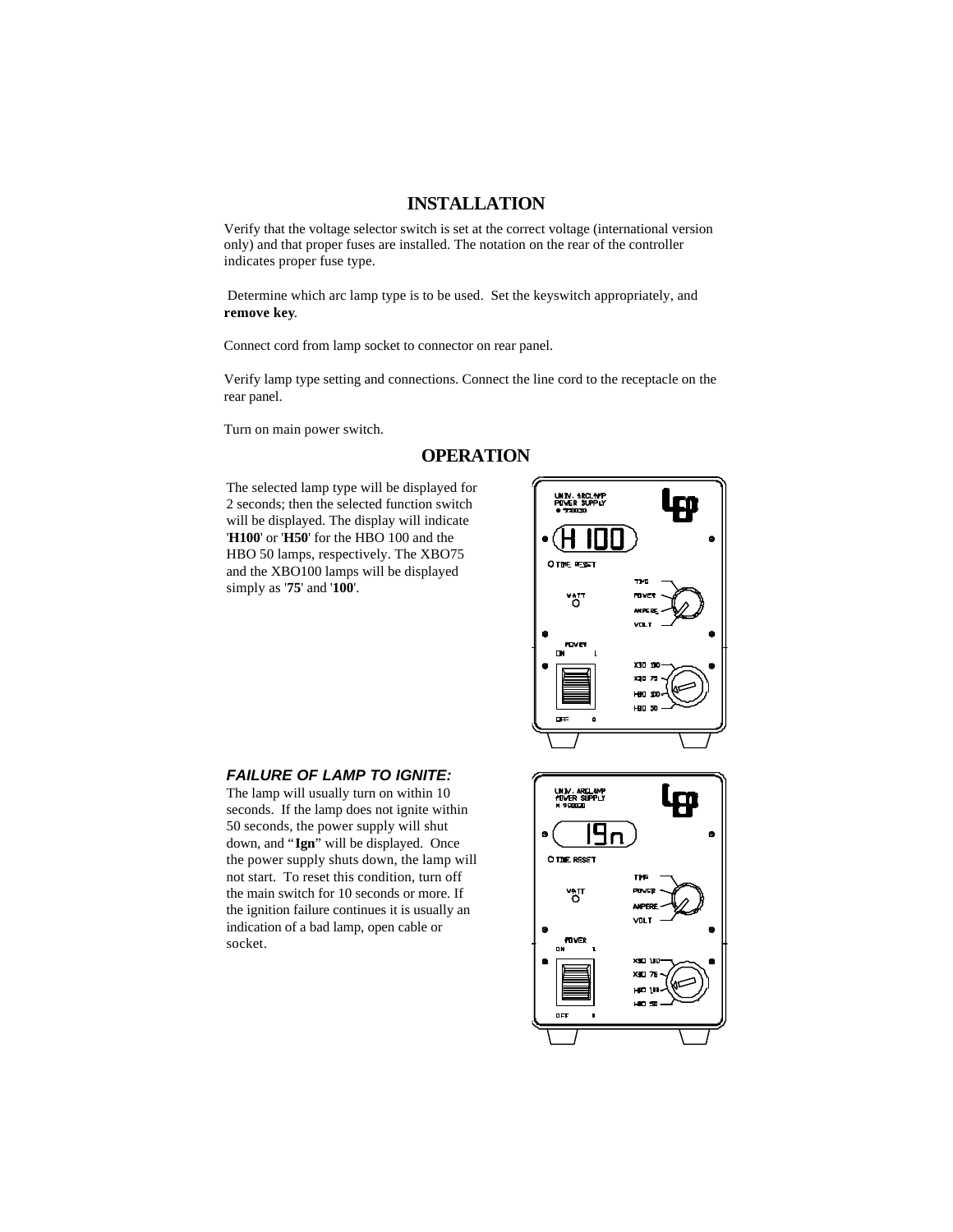## **INSTALLATION**

Verify that the voltage selector switch is set at the correct voltage (international version only) and that proper fuses are installed. The notation on the rear of the controller indicates proper fuse type.

 Determine which arc lamp type is to be used. Set the keyswitch appropriately, and **remove key**.

Connect cord from lamp socket to connector on rear panel.

Verify lamp type setting and connections. Connect the line cord to the receptacle on the rear panel.

Turn on main power switch.

## **OPERATION**

The selected lamp type will be displayed for 2 seconds; then the selected function switch will be displayed. The display will indicate '**H100**' or '**H50**' for the HBO 100 and the HBO 50 lamps, respectively. The XBO75 and the XBO100 lamps will be displayed simply as '**75**' and '**100**'.



#### *FAILURE OF LAMP TO IGNITE:*

The lamp will usually turn on within 10 seconds. If the lamp does not ignite within 50 seconds, the power supply will shut down, and "**Ign**" will be displayed. Once the power supply shuts down, the lamp will not start. To reset this condition, turn off the main switch for 10 seconds or more. If the ignition failure continues it is usually an indication of a bad lamp, open cable or socket.

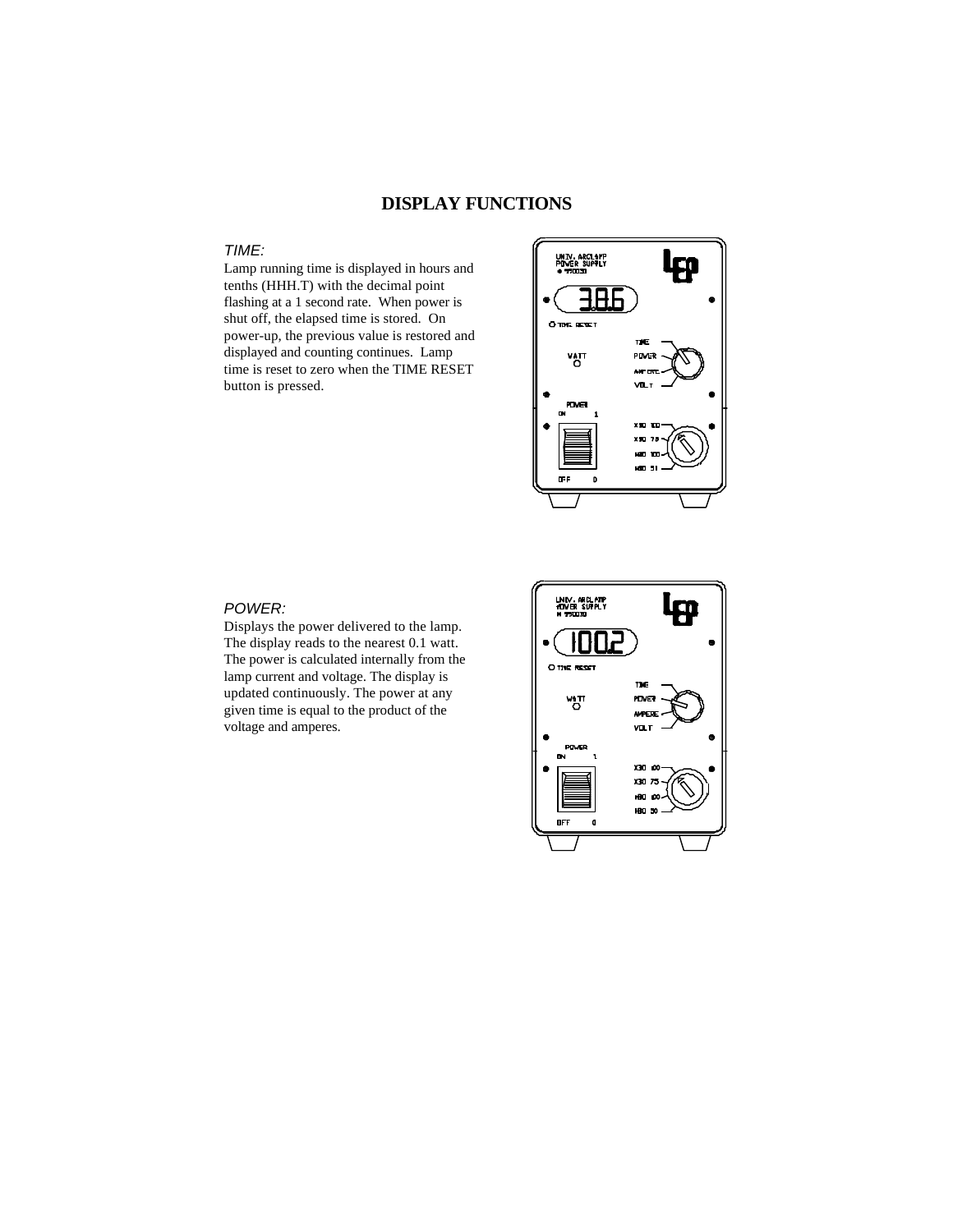## **DISPLAY FUNCTIONS**

## *TIME:*

Lamp running time is displayed in hours and tenths (HHH.T) with the decimal point flashing at a 1 second rate. When power is shut off, the elapsed time is stored. On power-up, the previous value is restored and displayed and counting continues. Lamp time is reset to zero when the TIME RESET button is pressed.



## *POWER:*

Displays the power delivered to the lamp. The display reads to the nearest 0.1 watt. The power is calculated internally from the lamp current and voltage. The display is updated continuously. The power at any given time is equal to the product of the voltage and amperes.

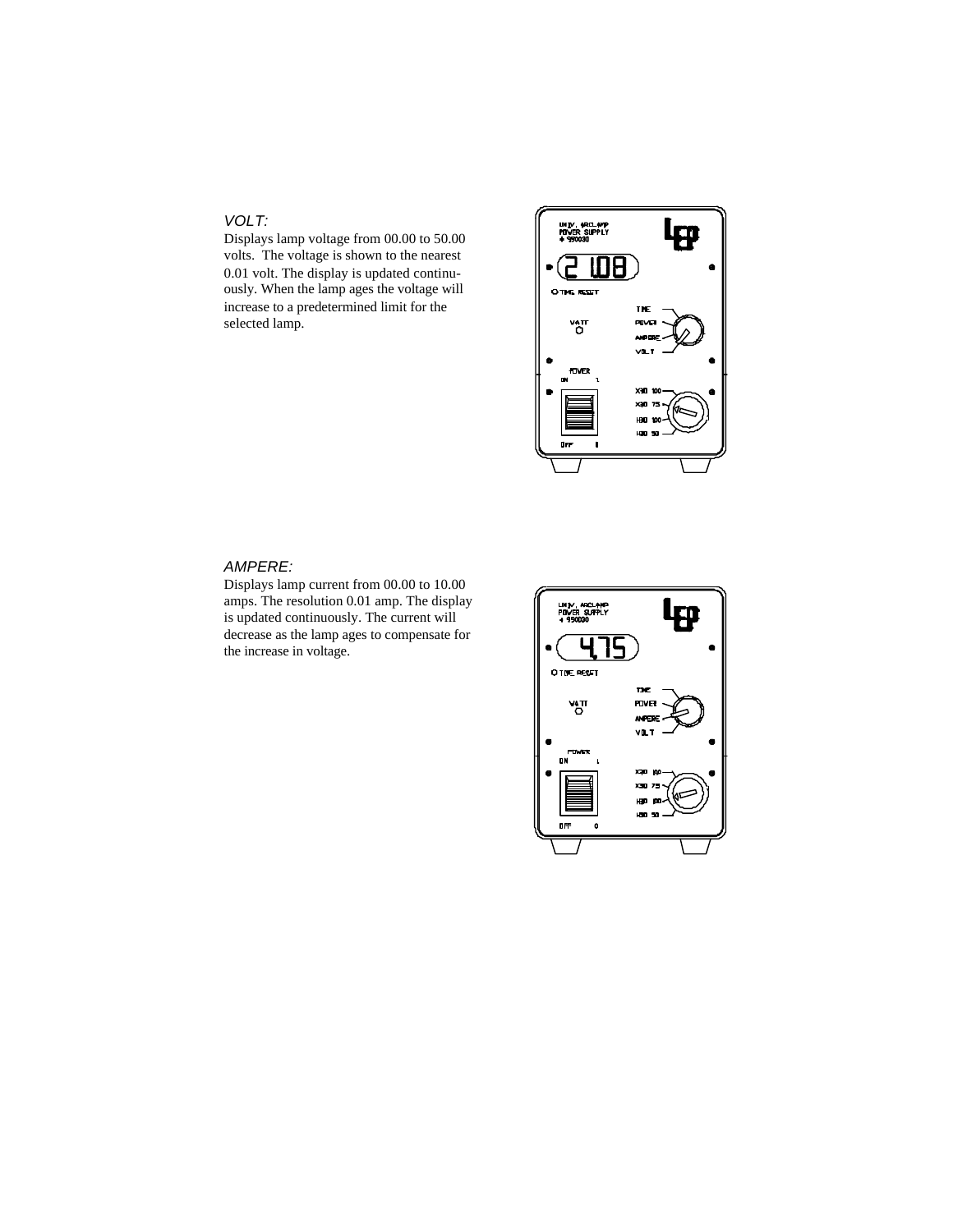## *VOLT:*

Displays lamp voltage from 00.00 to 50.00 volts. The voltage is shown to the nearest 0.01 volt. The display is updated continuously. When the lamp ages the voltage will increase to a predetermined limit for the selected lamp.



## *AMPERE:*

Displays lamp current from 00.00 to 10.00 amps. The resolution 0.01 amp. The display is updated continuously. The current will decrease as the lamp ages to compensate for the increase in voltage.

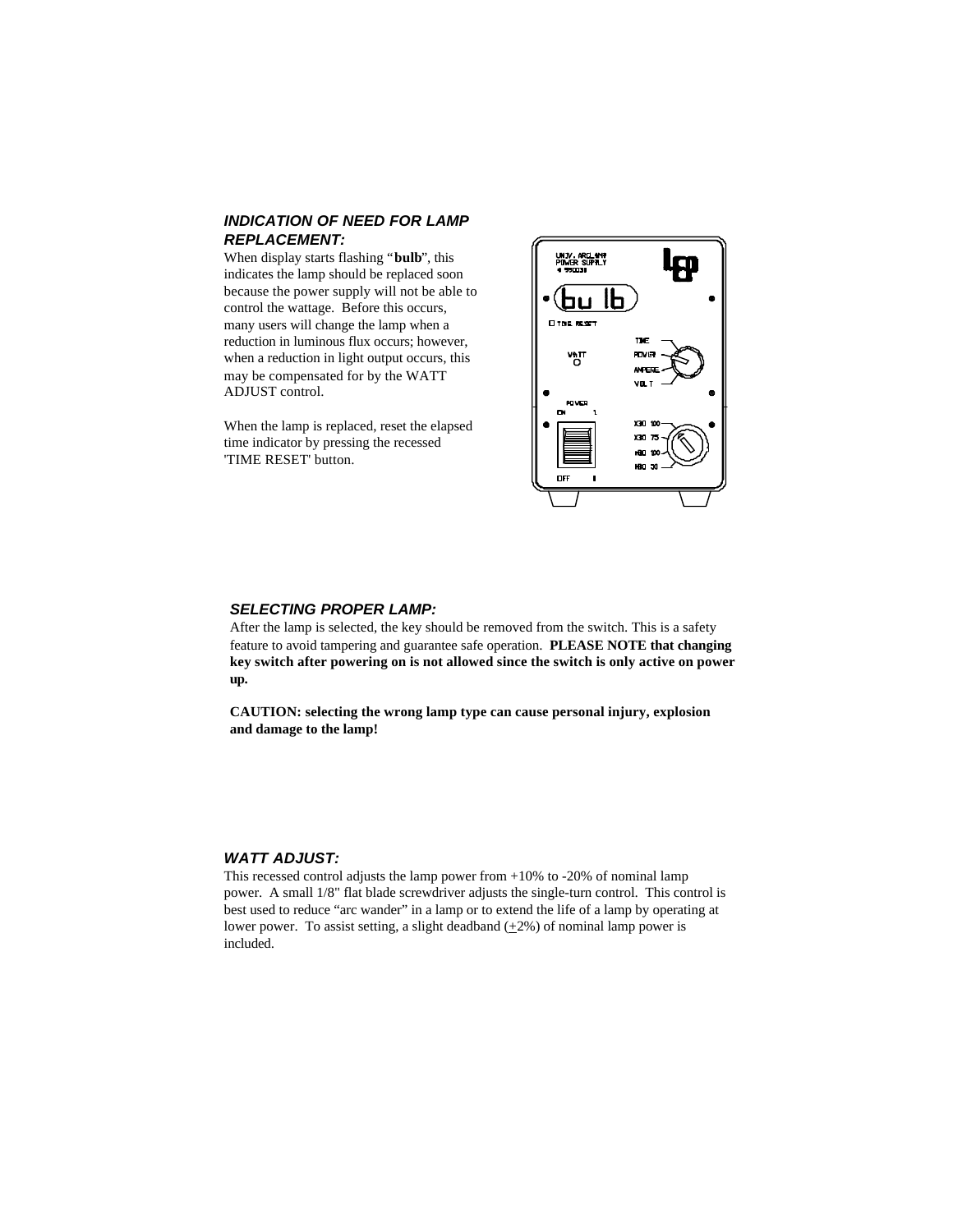#### *INDICATION OF NEED FOR LAMP REPLACEMENT:*

When display starts flashing "**bulb**", this indicates the lamp should be replaced soon because the power supply will not be able to control the wattage. Before this occurs, many users will change the lamp when a reduction in luminous flux occurs; however, when a reduction in light output occurs, this may be compensated for by the WATT ADJUST control.

When the lamp is replaced, reset the elapsed time indicator by pressing the recessed 'TIME RESET' button.



#### *SELECTING PROPER LAMP:*

After the lamp is selected, the key should be removed from the switch. This is a safety feature to avoid tampering and guarantee safe operation. **PLEASE NOTE that changing key switch after powering on is not allowed since the switch is only active on power up.**

**CAUTION: selecting the wrong lamp type can cause personal injury, explosion and damage to the lamp!**

#### *WATT ADJUST:*

This recessed control adjusts the lamp power from +10% to -20% of nominal lamp power. A small 1/8" flat blade screwdriver adjusts the single-turn control. This control is best used to reduce "arc wander" in a lamp or to extend the life of a lamp by operating at lower power. To assist setting, a slight deadband  $(±2%)$  of nominal lamp power is included.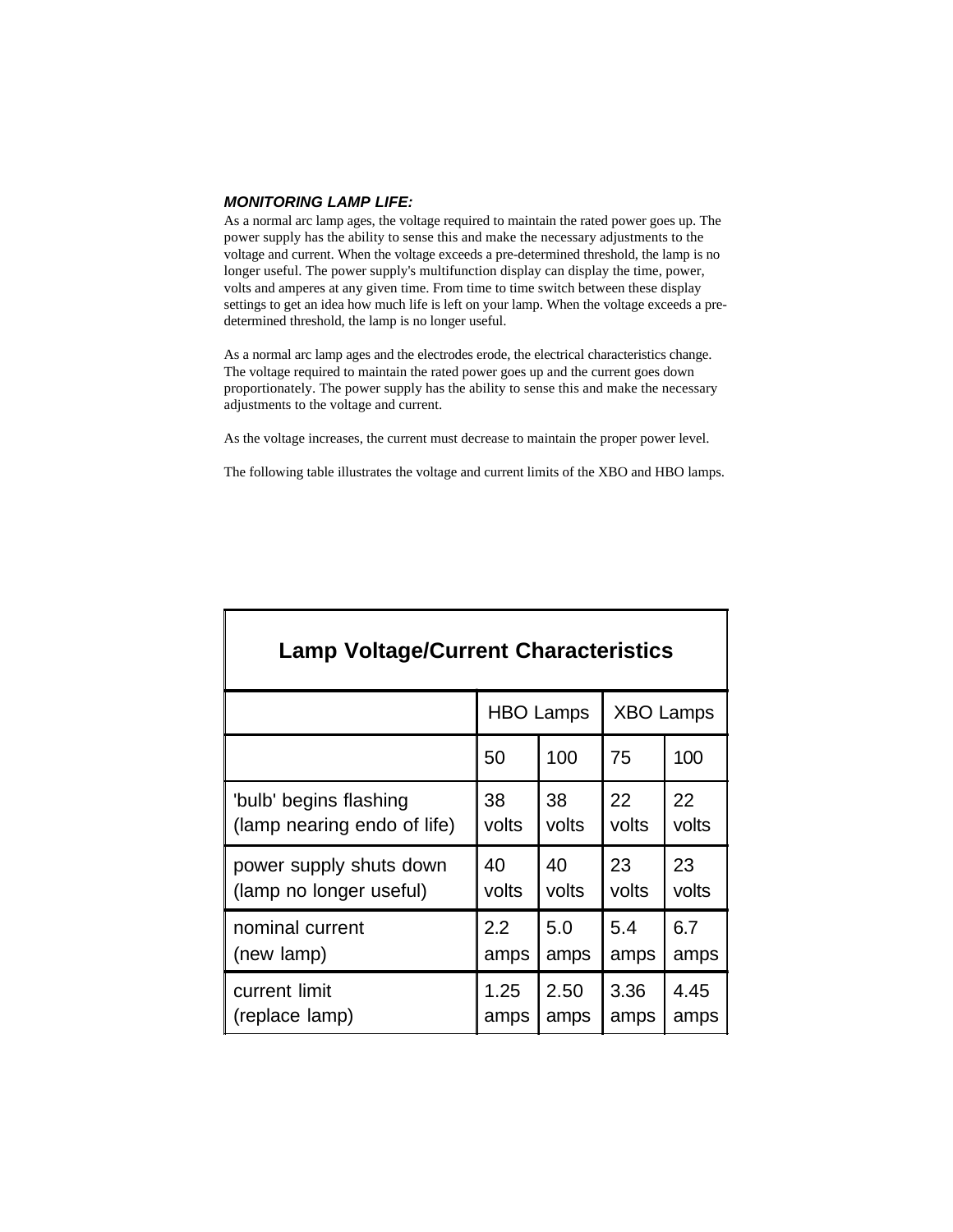#### *MONITORING LAMP LIFE:*

As a normal arc lamp ages, the voltage required to maintain the rated power goes up. The power supply has the ability to sense this and make the necessary adjustments to the voltage and current. When the voltage exceeds a pre-determined threshold, the lamp is no longer useful. The power supply's multifunction display can display the time, power, volts and amperes at any given time. From time to time switch between these display settings to get an idea how much life is left on your lamp. When the voltage exceeds a predetermined threshold, the lamp is no longer useful.

As a normal arc lamp ages and the electrodes erode, the electrical characteristics change. The voltage required to maintain the rated power goes up and the current goes down proportionately. The power supply has the ability to sense this and make the necessary adjustments to the voltage and current.

As the voltage increases, the current must decrease to maintain the proper power level.

The following table illustrates the voltage and current limits of the XBO and HBO lamps.

| <b>Lamp Voltage/Current Characteristics</b> |       |                                      |       |       |  |
|---------------------------------------------|-------|--------------------------------------|-------|-------|--|
|                                             |       | <b>HBO Lamps</b><br><b>XBO Lamps</b> |       |       |  |
|                                             | 50    | 100                                  | 75    | 100   |  |
| 'bulb' begins flashing                      | 38    | 38                                   | 22    | 22    |  |
| (lamp nearing endo of life)                 | volts | volts                                | volts | volts |  |
| power supply shuts down                     | 40    | 40                                   | 23    | 23    |  |
| (lamp no longer useful)                     | volts | volts                                | volts | volts |  |
| nominal current                             | 2.2   | 5.0                                  | 5.4   | 6.7   |  |
| (new lamp)                                  | amps  | amps                                 | amps  | amps  |  |
| current limit                               | 1.25  | 2.50                                 | 3.36  | 4.45  |  |
| (replace lamp)                              | amps  | amps                                 | amps  | amps  |  |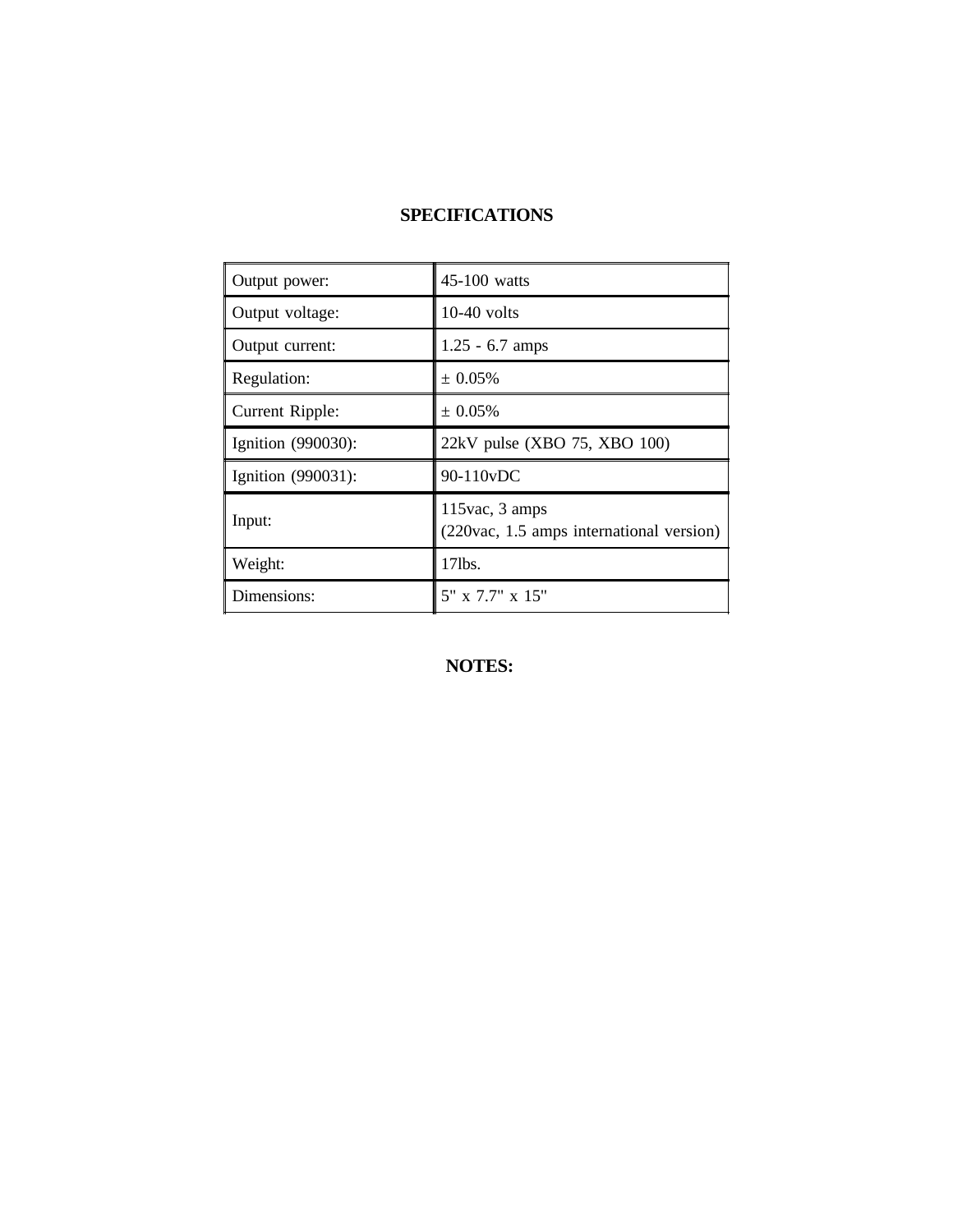## **SPECIFICATIONS**

| Output power:         | $45-100$ watts                                                |
|-----------------------|---------------------------------------------------------------|
| Output voltage:       | $10-40$ volts                                                 |
| Output current:       | $1.25 - 6.7$ amps                                             |
| Regulation:           | $\pm 0.05\%$                                                  |
| Current Ripple:       | $\pm 0.05\%$                                                  |
| Ignition $(990030)$ : | 22kV pulse (XBO 75, XBO 100)                                  |
| Ignition (990031):    | 90-110vDC                                                     |
| Input:                | $115$ vac, 3 amps<br>(220vac, 1.5 amps international version) |
| Weight:               | $17$ lbs.                                                     |
| Dimensions:           | 5" x 7.7" x 15"                                               |

**NOTES:**